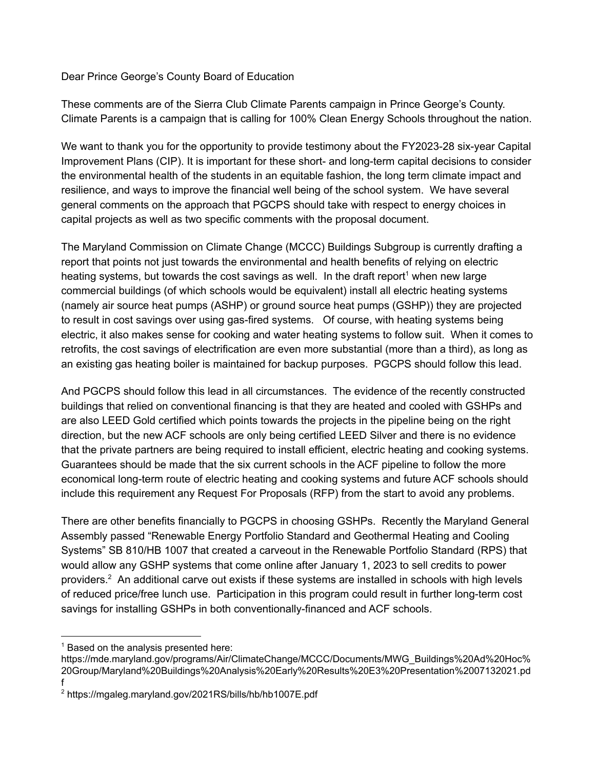Dear Prince George's County Board of Education

These comments are of the Sierra Club Climate Parents campaign in Prince George's County. Climate Parents is a campaign that is calling for 100% Clean Energy Schools throughout the nation.

We want to thank you for the opportunity to provide testimony about the FY2023-28 six-year Capital Improvement Plans (CIP). It is important for these short- and long-term capital decisions to consider the environmental health of the students in an equitable fashion, the long term climate impact and resilience, and ways to improve the financial well being of the school system. We have several general comments on the approach that PGCPS should take with respect to energy choices in capital projects as well as two specific comments with the proposal document.

The Maryland Commission on Climate Change (MCCC) Buildings Subgroup is currently drafting a report that points not just towards the environmental and health benefits of relying on electric heating systems, but towards the cost savings as well. In the draft report<sup>1</sup> when new large commercial buildings (of which schools would be equivalent) install all electric heating systems (namely air source heat pumps (ASHP) or ground source heat pumps (GSHP)) they are projected to result in cost savings over using gas-fired systems. Of course, with heating systems being electric, it also makes sense for cooking and water heating systems to follow suit. When it comes to retrofits, the cost savings of electrification are even more substantial (more than a third), as long as an existing gas heating boiler is maintained for backup purposes. PGCPS should follow this lead.

And PGCPS should follow this lead in all circumstances. The evidence of the recently constructed buildings that relied on conventional financing is that they are heated and cooled with GSHPs and are also LEED Gold certified which points towards the projects in the pipeline being on the right direction, but the new ACF schools are only being certified LEED Silver and there is no evidence that the private partners are being required to install efficient, electric heating and cooking systems. Guarantees should be made that the six current schools in the ACF pipeline to follow the more economical long-term route of electric heating and cooking systems and future ACF schools should include this requirement any Request For Proposals (RFP) from the start to avoid any problems.

There are other benefits financially to PGCPS in choosing GSHPs. Recently the Maryland General Assembly passed "Renewable Energy Portfolio Standard and Geothermal Heating and Cooling Systems" SB 810/HB 1007 that created a carveout in the Renewable Portfolio Standard (RPS) that would allow any GSHP systems that come online after January 1, 2023 to sell credits to power providers. $2$  An additional carve out exists if these systems are installed in schools with high levels of reduced price/free lunch use. Participation in this program could result in further long-term cost savings for installing GSHPs in both conventionally-financed and ACF schools.

 $1$  Based on the analysis presented here:

https://mde.maryland.gov/programs/Air/ClimateChange/MCCC/Documents/MWG\_Buildings%20Ad%20Hoc% 20Group/Maryland%20Buildings%20Analysis%20Early%20Results%20E3%20Presentation%2007132021.pd f

<sup>2</sup> https://mgaleg.maryland.gov/2021RS/bills/hb/hb1007E.pdf